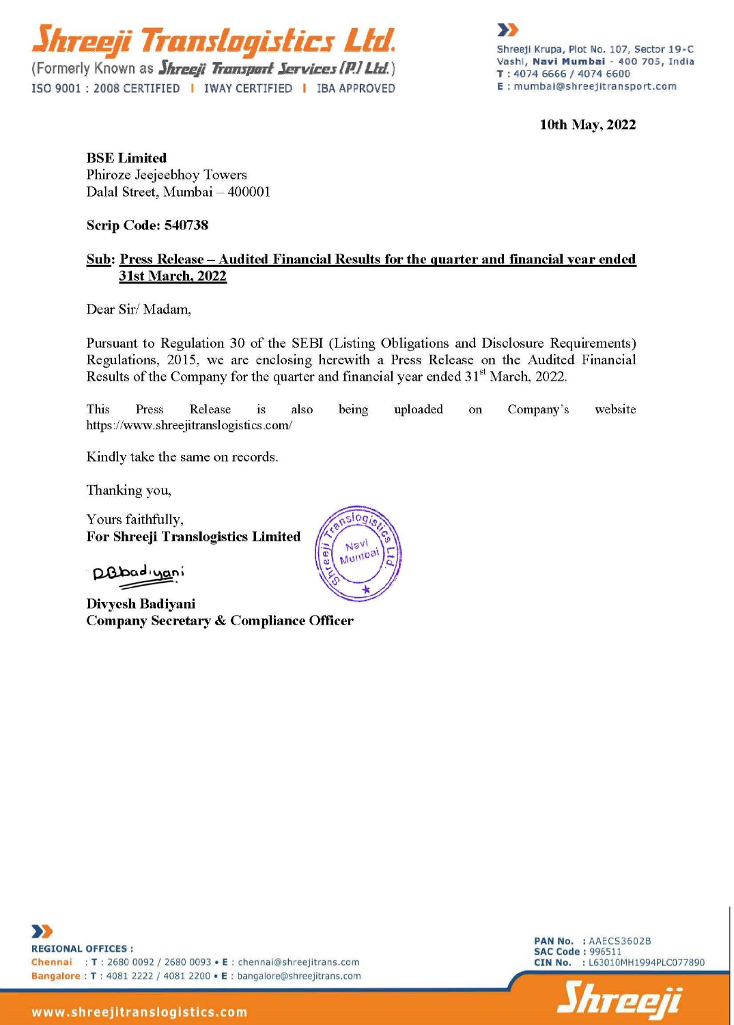

(Formerly Known as *<i>Jhreeji Transport Services* [P.] Ltd.) ISO 9001 : 2008 CERTIFIED | IWAY CERTIFIED | IBA APPROVED



lOth May, 2022

BSE Limited Phiroze Jeejeebhoy Towers Dalal Street, Mumbai - 400001

Scrip Code: 540738

# Sub: Press Release- Audited Financial Results for the quarter and fmancial year ended 31st March, 2022

Dear Sir/ Madam,

Pursuant to Regulation 30 of the SEBI (Listing Obligations and Disclosure Requirements) Regulations, 2015, we are enclosing herewith a Press Release on the Audited Financial Results of the Company for the quarter and financial year ended  $31<sup>st</sup>$  March, 2022.

This Press Release is also https://www.shreejitranslogistics.com/ being uploaded on Company's website

Kindly take the same on records.

Thanking you,

Yours faithfully, For Shreeji Translogistics Limited

D.B. badiyani<br>Dinyah Badiyan

Divyesh Badiyani Company Secretary & Compliance Officer



>> REGIONAL OFFICES : Chennai : T : 2680 0092 / 2680 0093 • E : chennai@shreejitrans.com Bangalore : T : 4081 2222 / 4081 2200 • E : bangalore@shreejitrans.com

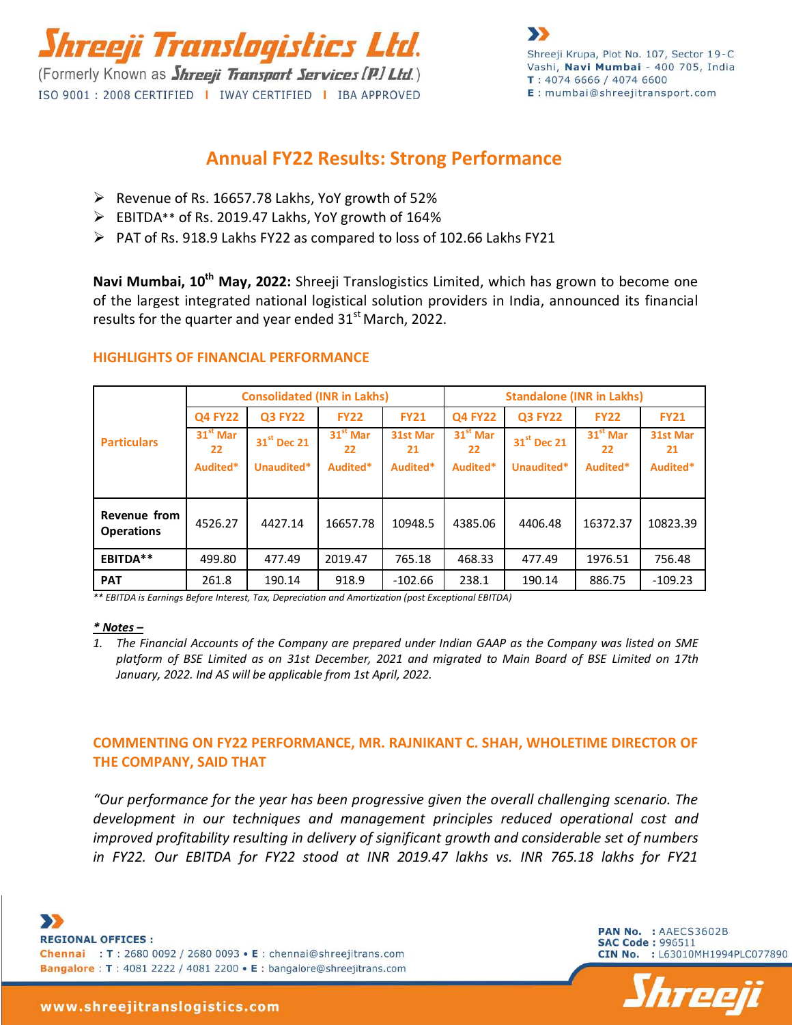

# **Annual FY22 Results: Strong Performance**

- $\triangleright$  Revenue of Rs. 16657.78 Lakhs, YoY growth of 52%
- EBITDA\*\* of Rs. 2019.47 Lakhs, YoY growth of 164%
- $\triangleright$  PAT of Rs. 918.9 Lakhs FY22 as compared to loss of 102.66 Lakhs FY21

**Navi Mumbai, 10th May, 2022:** Shreeji Translogistics Limited, which has grown to become one of the largest integrated national logistical solution providers in India, announced its financial results for the quarter and year ended  $31<sup>st</sup>$  March, 2022.

|                                   | <b>Consolidated (INR in Lakhs)</b> |                         |                  |                | <b>Standalone (INR in Lakhs)</b> |                         |                  |                |
|-----------------------------------|------------------------------------|-------------------------|------------------|----------------|----------------------------------|-------------------------|------------------|----------------|
| <b>Particulars</b>                | <b>Q4 FY22</b>                     | <b>Q3 FY22</b>          | <b>FY22</b>      | <b>FY21</b>    | <b>Q4 FY22</b>                   | <b>Q3 FY22</b>          | <b>FY22</b>      | <b>FY21</b>    |
|                                   | $31st$ Mar<br>22                   | 31 <sup>st</sup> Dec 21 | $31st$ Mar<br>22 | 31st Mar<br>21 | $31st$ Mar<br>22                 | 31 <sup>st</sup> Dec 21 | $31st$ Mar<br>22 | 31st Mar<br>21 |
|                                   | Audited*                           | Unaudited*              | Audited*         | Audited*       | Audited*                         | Unaudited*              | Audited*         | Audited*       |
|                                   |                                    |                         |                  |                |                                  |                         |                  |                |
| Revenue from<br><b>Operations</b> | 4526.27                            | 4427.14                 | 16657.78         | 10948.5        | 4385.06                          | 4406.48                 | 16372.37         | 10823.39       |
| EBITDA**                          | 499.80                             | 477.49                  | 2019.47          | 765.18         | 468.33                           | 477.49                  | 1976.51          | 756.48         |
| <b>PAT</b>                        | 261.8                              | 190.14                  | 918.9            | $-102.66$      | 238.1                            | 190.14                  | 886.75           | $-109.23$      |

# **HIGHLIGHTS OF FINANCIAL PERFORMANCE**

*\*\* EBITDA is Earnings Before Interest, Tax, Depreciation and Amortization (post Exceptional EBITDA)*

#### *\* Notes –*

*1. The Financial Accounts of the Company are prepared under Indian GAAP as the Company was listed on SME platform of BSE Limited as on 31st December, 2021 and migrated to Main Board of BSE Limited on 17th January, 2022. Ind AS will be applicable from 1st April, 2022.*

# **COMMENTING ON FY22 PERFORMANCE, MR. RAJNIKANT C. SHAH, WHOLETIME DIRECTOR OF THE COMPANY, SAID THAT**

*"Our performance for the year has been progressive given the overall challenging scenario. The development in our techniques and management principles reduced operational cost and improved profitability resulting in delivery of significant growth and considerable set of numbers in FY22. Our EBITDA for FY22 stood at INR 2019.47 lakhs vs. INR 765.18 lakhs for FY21* 

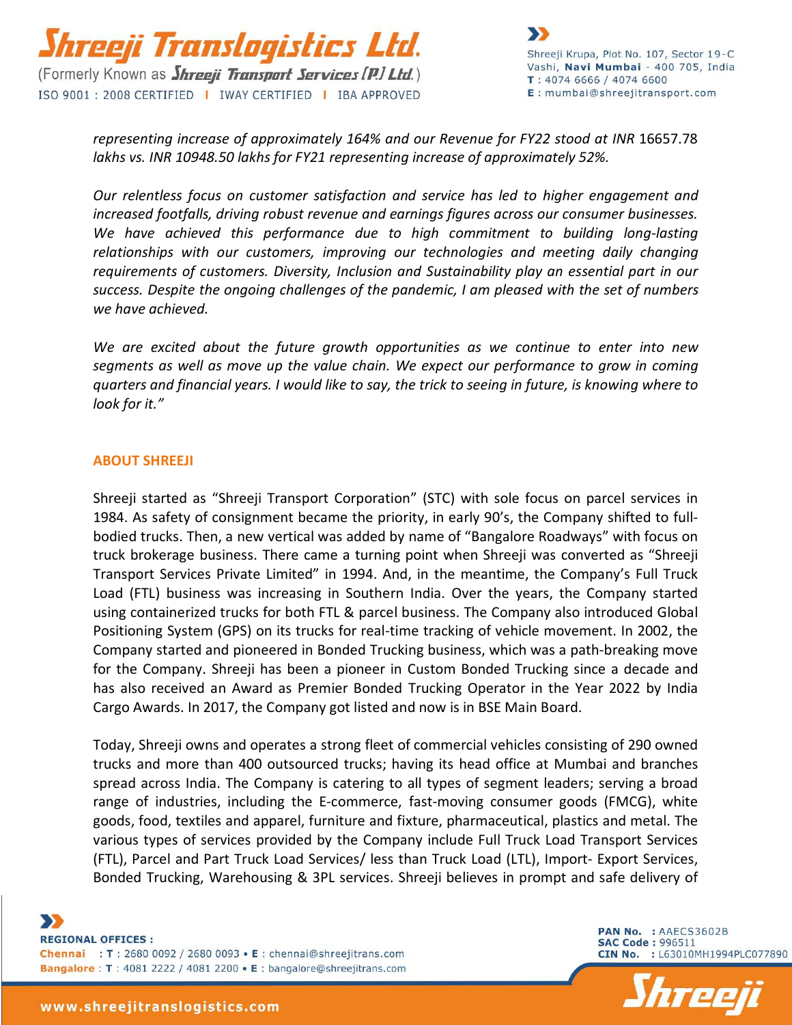

*representing increase of approximately 164% and our Revenue for FY22 stood at INR* 16657.78 *lakhs vs. INR 10948.50 lakhs for FY21 representing increase of approximately 52%.*

*Our relentless focus on customer satisfaction and service has led to higher engagement and increased footfalls, driving robust revenue and earnings figures across our consumer businesses. We have achieved this performance due to high commitment to building long-lasting relationships with our customers, improving our technologies and meeting daily changing requirements of customers. Diversity, Inclusion and Sustainability play an essential part in our success. Despite the ongoing challenges of the pandemic, I am pleased with the set of numbers we have achieved.*

*We are excited about the future growth opportunities as we continue to enter into new segments as well as move up the value chain. We expect our performance to grow in coming quarters and financial years. I would like to say, the trick to seeing in future, is knowing where to look for it."*

### **ABOUT SHREEJI**

Shreeji started as "Shreeji Transport Corporation" (STC) with sole focus on parcel services in 1984. As safety of consignment became the priority, in early 90's, the Company shifted to fullbodied trucks. Then, a new vertical was added by name of "Bangalore Roadways" with focus on truck brokerage business. There came a turning point when Shreeji was converted as "Shreeji Transport Services Private Limited" in 1994. And, in the meantime, the Company's Full Truck Load (FTL) business was increasing in Southern India. Over the years, the Company started using containerized trucks for both FTL & parcel business. The Company also introduced Global Positioning System (GPS) on its trucks for real-time tracking of vehicle movement. In 2002, the Company started and pioneered in Bonded Trucking business, which was a path-breaking move for the Company. Shreeji has been a pioneer in Custom Bonded Trucking since a decade and has also received an Award as Premier Bonded Trucking Operator in the Year 2022 by India Cargo Awards. In 2017, the Company got listed and now is in BSE Main Board.

Today, Shreeji owns and operates a strong fleet of commercial vehicles consisting of 290 owned trucks and more than 400 outsourced trucks; having its head office at Mumbai and branches spread across India. The Company is catering to all types of segment leaders; serving a broad range of industries, including the E-commerce, fast-moving consumer goods (FMCG), white goods, food, textiles and apparel, furniture and fixture, pharmaceutical, plastics and metal. The various types of services provided by the Company include Full Truck Load Transport Services (FTL), Parcel and Part Truck Load Services/ less than Truck Load (LTL), Import- Export Services, Bonded Trucking, Warehousing & 3PL services. Shreeji believes in prompt and safe delivery of

 $\mathbf{y}$ **REGIONAL OFFICES:** Chennai : T : 2680 0092 / 2680 0093 • E : chennai@shreejitrans.com Bangalore: T: 4081 2222 / 4081 2200 • E: bangalore@shreejitrans.com

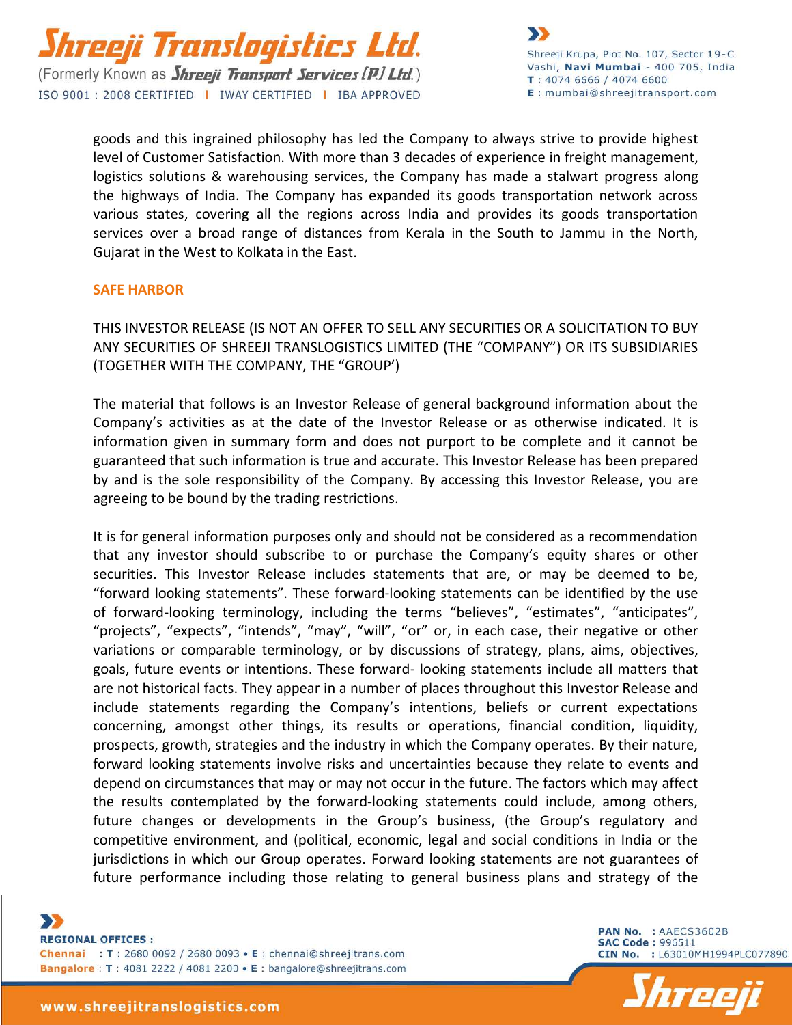

goods and this ingrained philosophy has led the Company to always strive to provide highest level of Customer Satisfaction. With more than 3 decades of experience in freight management, logistics solutions & warehousing services, the Company has made a stalwart progress along the highways of India. The Company has expanded its goods transportation network across various states, covering all the regions across India and provides its goods transportation services over a broad range of distances from Kerala in the South to Jammu in the North, Gujarat in the West to Kolkata in the East.

### **SAFE HARBOR**

THIS INVESTOR RELEASE (IS NOT AN OFFER TO SELL ANY SECURITIES OR A SOLICITATION TO BUY ANY SECURITIES OF SHREEJI TRANSLOGISTICS LIMITED (THE "COMPANY") OR ITS SUBSIDIARIES (TOGETHER WITH THE COMPANY, THE "GROUP')

The material that follows is an Investor Release of general background information about the Company's activities as at the date of the Investor Release or as otherwise indicated. It is information given in summary form and does not purport to be complete and it cannot be guaranteed that such information is true and accurate. This Investor Release has been prepared by and is the sole responsibility of the Company. By accessing this Investor Release, you are agreeing to be bound by the trading restrictions.

It is for general information purposes only and should not be considered as a recommendation that any investor should subscribe to or purchase the Company's equity shares or other securities. This Investor Release includes statements that are, or may be deemed to be, "forward looking statements". These forward-looking statements can be identified by the use of forward-looking terminology, including the terms "believes", "estimates", "anticipates", "projects", "expects", "intends", "may", "will", "or" or, in each case, their negative or other variations or comparable terminology, or by discussions of strategy, plans, aims, objectives, goals, future events or intentions. These forward- looking statements include all matters that are not historical facts. They appear in a number of places throughout this Investor Release and include statements regarding the Company's intentions, beliefs or current expectations concerning, amongst other things, its results or operations, financial condition, liquidity, prospects, growth, strategies and the industry in which the Company operates. By their nature, forward looking statements involve risks and uncertainties because they relate to events and depend on circumstances that may or may not occur in the future. The factors which may affect the results contemplated by the forward-looking statements could include, among others, future changes or developments in the Group's business, (the Group's regulatory and competitive environment, and (political, economic, legal and social conditions in India or the jurisdictions in which our Group operates. Forward looking statements are not guarantees of future performance including those relating to general business plans and strategy of the

 $\mathbf{y}$ **REGIONAL OFFICES:** Chennai : T : 2680 0092 / 2680 0093 • E : chennai@shreejitrans.com Bangalore: T: 4081 2222 / 4081 2200 • E: bangalore@shreejitrans.com

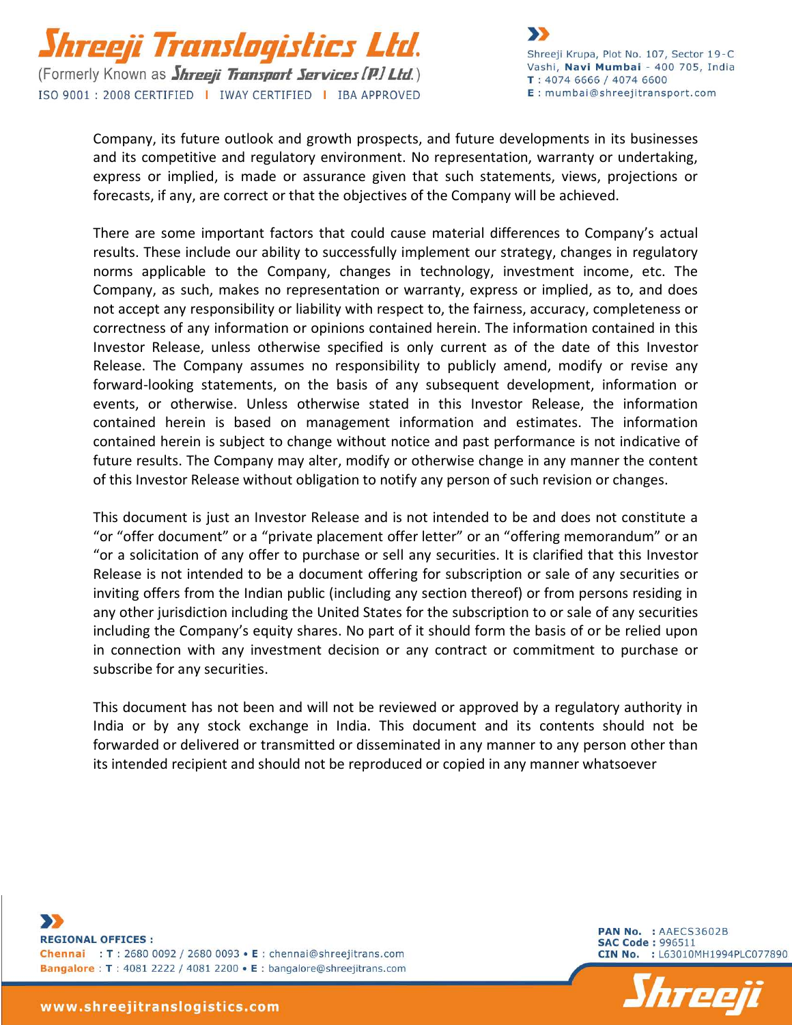

Company, its future outlook and growth prospects, and future developments in its businesses and its competitive and regulatory environment. No representation, warranty or undertaking, express or implied, is made or assurance given that such statements, views, projections or forecasts, if any, are correct or that the objectives of the Company will be achieved.

There are some important factors that could cause material differences to Company's actual results. These include our ability to successfully implement our strategy, changes in regulatory norms applicable to the Company, changes in technology, investment income, etc. The Company, as such, makes no representation or warranty, express or implied, as to, and does not accept any responsibility or liability with respect to, the fairness, accuracy, completeness or correctness of any information or opinions contained herein. The information contained in this Investor Release, unless otherwise specified is only current as of the date of this Investor Release. The Company assumes no responsibility to publicly amend, modify or revise any forward-looking statements, on the basis of any subsequent development, information or events, or otherwise. Unless otherwise stated in this Investor Release, the information contained herein is based on management information and estimates. The information contained herein is subject to change without notice and past performance is not indicative of future results. The Company may alter, modify or otherwise change in any manner the content of this Investor Release without obligation to notify any person of such revision or changes.

This document is just an Investor Release and is not intended to be and does not constitute a "or "offer document" or a "private placement offer letter" or an "offering memorandum" or an "or a solicitation of any offer to purchase or sell any securities. It is clarified that this Investor Release is not intended to be a document offering for subscription or sale of any securities or inviting offers from the Indian public (including any section thereof) or from persons residing in any other jurisdiction including the United States for the subscription to or sale of any securities including the Company's equity shares. No part of it should form the basis of or be relied upon in connection with any investment decision or any contract or commitment to purchase or subscribe for any securities.

This document has not been and will not be reviewed or approved by a regulatory authority in India or by any stock exchange in India. This document and its contents should not be forwarded or delivered or transmitted or disseminated in any manner to any person other than its intended recipient and should not be reproduced or copied in any manner whatsoever